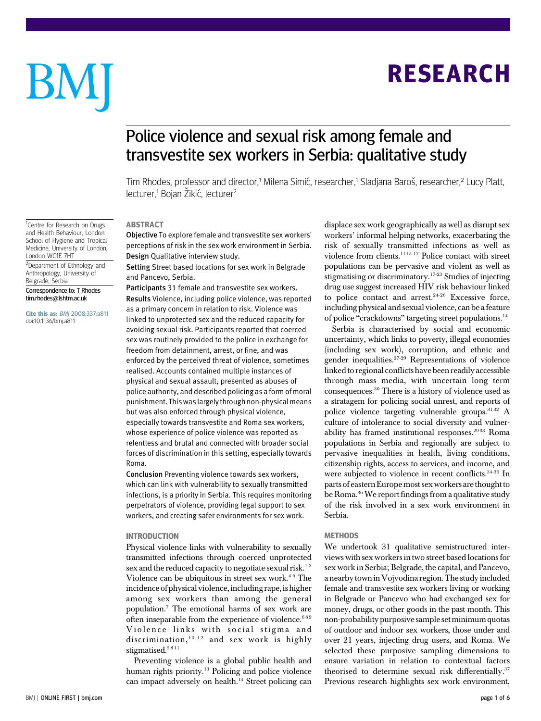## RESEARCH

# BM

### Police violence and sexual risk among female and transvestite sex workers in Serbia: qualitative study

Tim Rhodes, professor and director,<sup>1</sup> Milena Simić, researcher,<sup>1</sup> Sladiana Baroš, researcher,<sup>2</sup> Lucy Platt,  $lecturer<sup>1</sup>$  Bojan Žikić, lecturer<sup>2</sup>

#### **ARSTRACT**

Objective To explore female and transvestite sex workers' perceptions of risk in the sex work environment in Serbia. Design Qualitative interview study.

Setting Street based locations for sex work in Belgrade and Pancevo, Serbia.

Participants 31 female and transvestite sex workers. Results Violence, including police violence, was reported as a primary concern in relation to risk. Violence was linked to unprotected sex and the reduced capacity for avoiding sexual risk. Participants reported that coerced sex was routinely provided to the police in exchange for freedom from detainment, arrest, or fine, and was enforced by the perceived threat of violence, sometimes realised. Accounts contained multiple instances of physical and sexual assault, presented as abuses of police authority, and described policing as a form of moral punishment. This was largely through non-physical means but was also enforced through physical violence, especially towards transvestite and Roma sex workers, whose experience of police violence was reported as relentless and brutal and connected with broader social forces of discrimination in this setting, especially towards Roma.

Conclusion Preventing violence towards sex workers, which can link with vulnerability to sexually transmitted infections, is a priority in Serbia. This requires monitoring perpetrators of violence, providing legal support to sex workers, and creating safer environments for sex work.

#### INTRODUCTION

Physical violence links with vulnerability to sexually transmitted infections through coerced unprotected sex and the reduced capacity to negotiate sexual risk.<sup>1-3</sup> Violence can be ubiquitous in street sex work.<sup>4-6</sup> The incidence of physical violence, including rape,is higher among sex workers than among the general population.7 The emotional harms of sex work are often inseparable from the experience of violence.<sup>689</sup> Violence links with social stigma and discrimination, 10-12 and sex work is highly stigmatised.<sup>5811</sup>

Preventing violence is a global public health and human rights priority.13 Policing and police violence can impact adversely on health.<sup>14</sup> Street policing can displace sex work geographically as well as disrupt sex workers' informal helping networks, exacerbating the risk of sexually transmitted infections as well as violence from clients.11 15-17 Police contact with street populations can be pervasive and violent as well as stigmatising or discriminatory.17-23 Studies of injecting drug use suggest increased HIV risk behaviour linked to police contact and arrest. $24-26$  Excessive force, including physical and sexual violence, can be a feature of police "crackdowns" targeting street populations.14

Serbia is characterised by social and economic uncertainty, which links to poverty, illegal economies (including sex work), corruption, and ethnic and gender inequalities.<sup>27-29</sup> Representations of violence linkedto regional conflicts have been readily accessible through mass media, with uncertain long term consequences.30 There is a history of violence used as a stratagem for policing social unrest, and reports of police violence targeting vulnerable groups.<sup>31,32</sup> A culture of intolerance to social diversity and vulnerability has framed institutional responses.<sup>2933</sup> Roma populations in Serbia and regionally are subject to pervasive inequalities in health, living conditions, citizenship rights, access to services, and income, and were subjected to violence in recent conflicts.<sup>34-36</sup> In parts of eastern Europe most sex workers are thought to be Roma.36We report findings from a qualitative study of the risk involved in a sex work environment in Serbia.

#### **METHODS**

We undertook 31 qualitative semistructured interviews with sex workers in two street based locations for sex work in Serbia; Belgrade, the capital, and Pancevo, a nearby town in Vojvodina region. The study included female and transvestite sex workers living or working in Belgrade or Pancevo who had exchanged sex for money, drugs, or other goods in the past month. This non-probability purposive sample setminimum quotas of outdoor and indoor sex workers, those under and over 21 years, injecting drug users, and Roma. We selected these purposive sampling dimensions to ensure variation in relation to contextual factors theorised to determine sexual risk differentially.<sup>37</sup> Previous research highlights sex work environment,

<sup>1</sup>Centre for Research on Drugs and Health Behaviour, London School of Hygiene and Tropical Medicine, University of London, London WC1E 7HT

<sup>2</sup>Department of Ethnology and Anthropology, University of Belgrade, Serbia

Correspondence to: T Rhodes tim.rhodes@lshtm.ac.uk

Cite this as: **BMJ 2008**:337:a811 doi:10.1136/bmj.a811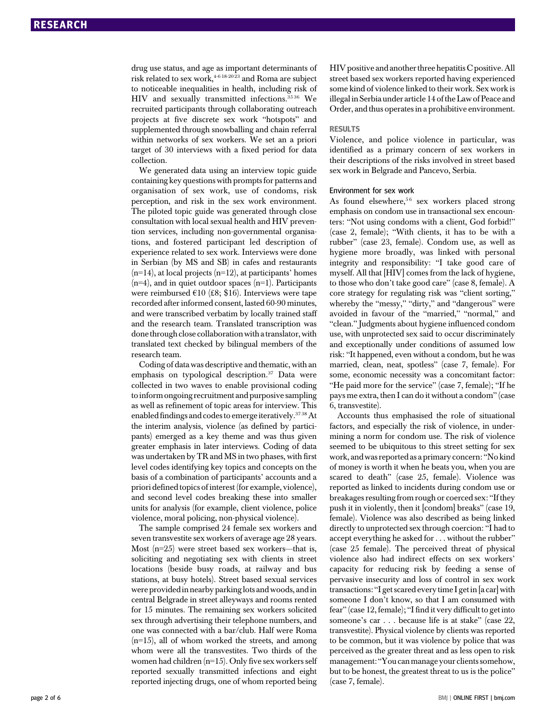drug use status, and age as important determinants of risk related to sex work,  $4-618-2023$  and Roma are subject to noticeable inequalities in health, including risk of HIV and sexually transmitted infections.35 36 We recruited participants through collaborating outreach projects at five discrete sex work "hotspots" and supplemented through snowballing and chain referral within networks of sex workers. We set an a priori target of 30 interviews with a fixed period for data collection.

We generated data using an interview topic guide containing key questions with prompts for patterns and organisation of sex work, use of condoms, risk perception, and risk in the sex work environment. The piloted topic guide was generated through close consultation with local sexual health and HIV prevention services, including non-governmental organisations, and fostered participant led description of experience related to sex work. Interviews were done in Serbian (by MS and SB) in cafes and restaurants  $(n=14)$ , at local projects  $(n=12)$ , at participants' homes  $(n=4)$ , and in quiet outdoor spaces  $(n=1)$ . Participants were reimbursed  $\epsilon$ 10 (£8; \$16). Interviews were tape recorded after informed consent, lasted 60-90 minutes, and were transcribed verbatim by locally trained staff and the research team. Translated transcription was donethrough close collaboration with atranslator, with translated text checked by bilingual members of the research team.

Coding of data was descriptive and thematic, with an emphasis on typological description.<sup>37</sup> Data were collected in two waves to enable provisional coding to inform ongoing recruitment and purposive sampling as well as refinement of topic areas for interview. This enabled findings and codes to emerge iteratively.<sup>3738</sup> At the interim analysis, violence (as defined by participants) emerged as a key theme and was thus given greater emphasis in later interviews. Coding of data was undertaken by TR and MS in two phases, with first level codes identifying key topics and concepts on the basis of a combination of participants' accounts and a priori defined topics of interest (for example, violence), and second level codes breaking these into smaller units for analysis (for example, client violence, police violence, moral policing, non-physical violence).

The sample comprised 24 female sex workers and seven transvestite sex workers of average age 28 years. Most (n=25) were street based sex workers—that is, soliciting and negotiating sex with clients in street locations (beside busy roads, at railway and bus stations, at busy hotels). Street based sexual services were providedin nearby parkinglots and woods, andin central Belgrade in street alleyways and rooms rented for 15 minutes. The remaining sex workers solicited sex through advertising their telephone numbers, and one was connected with a bar/club. Half were Roma  $(n=15)$ , all of whom worked the streets, and among whom were all the transvestites. Two thirds of the women had children (n=15). Only five sex workers self reported sexually transmitted infections and eight reported injecting drugs, one of whom reported being HIV positive and another three hepatitis C positive. All street based sex workers reported having experienced some kind of violence linked to their work. Sex work is illegal in Serbia under article 14 ofthe Law of Peace and Order, and thus operates in a prohibitive environment.

#### RESULTS

Violence, and police violence in particular, was identified as a primary concern of sex workers in their descriptions of the risks involved in street based sex work in Belgrade and Pancevo, Serbia.

#### Environment for sex work

As found elsewhere,<sup>56</sup> sex workers placed strong emphasis on condom use in transactional sex encounters: "Not using condoms with a client, God forbid!" (case 2, female); "With clients, it has to be with a rubber" (case 23, female). Condom use, as well as hygiene more broadly, was linked with personal integrity and responsibility: "I take good care of myself. All that [HIV] comes from the lack of hygiene, to those who don't take good care" (case 8, female). A core strategy for regulating risk was "client sorting," whereby the "messy," "dirty," and "dangerous" were avoided in favour of the "married," "normal," and "clean." Judgments about hygiene influenced condom use, with unprotected sex said to occur discriminately and exceptionally under conditions of assumed low risk: "It happened, even without a condom, but he was married, clean, neat, spotless" (case 7, female). For some, economic necessity was a concomitant factor: "He paid more for the service" (case 7, female); "If he pays me extra, then I can do it without a condom" (case 6, transvestite).

Accounts thus emphasised the role of situational factors, and especially the risk of violence, in undermining a norm for condom use. The risk of violence seemed to be ubiquitous to this street setting for sex work, and was reported as a primary concern: "No kind of money is worth it when he beats you, when you are scared to death" (case 25, female). Violence was reported as linked to incidents during condom use or breakages resulting from rough or coerced sex: "If they push it in violently, then it [condom] breaks" (case 19, female). Violence was also described as being linked directly to unprotected sex through coercion: "I had to accept everything he asked for . . . without the rubber" (case 25 female). The perceived threat of physical violence also had indirect effects on sex workers' capacity for reducing risk by feeding a sense of pervasive insecurity and loss of control in sex work transactions: "I get scared everytime I get in [a car] with someone I don't know, so that I am consumed with fear" (case 12, female); "I find it very difficult to get into someone's car . . . because life is at stake" (case 22, transvestite). Physical violence by clients was reported to be common, but it was violence by police that was perceived as the greater threat and as less open to risk management: "You canmanage your clients somehow, but to be honest, the greatest threat to us is the police" (case 7, female).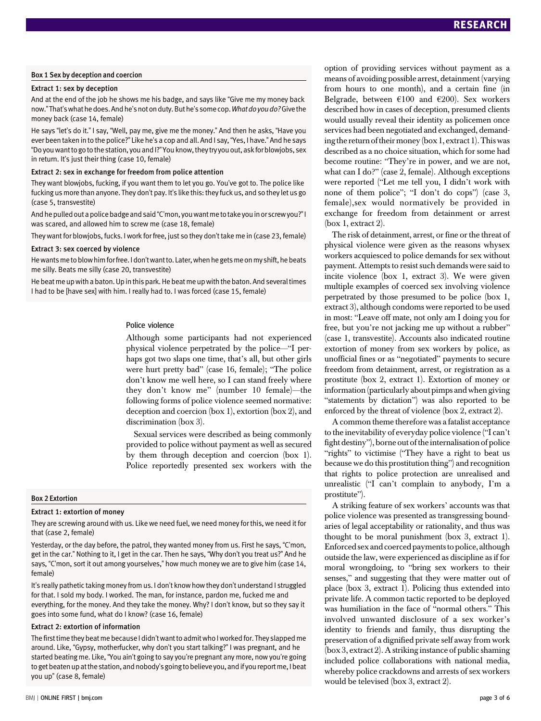#### Box 1 Sex by deception and coercion

#### Extract 1: sex by deception

And at the end of the job he shows me his badge, and says like "Give me my money back now." That's what he does. And he's not on duty. But he's some cop. What do you do? Give the money back (case 14, female)

He says "let's do it." I say, "Well, pay me, give me the money." And then he asks, "Have you ever been taken in to the police?" Like he's a cop and all. And I say,"Yes, I have." And he says "Do youwant to go to the station, you andI?"You know, they try you out, askfor blowjobs, sex in return. It's just their thing (case 10, female)

#### Extract 2: sex in exchange for freedom from police attention

They want blowjobs, fucking, if you want them to let you go. You've got to. The police like fucking us more than anyone. They don't pay. It's like this: they fuck us, and so they let us go (case 5, transvestite)

And he pulled out a police badge and said "C'mon, you want me to take you in or screw you?" I was scared, and allowed him to screw me (case 18, female)

They want for blowjobs, fucks. I work for free, just so they don't take me in (case 23, female)

#### Extract 3: sex coerced by violence

He wants me to blow him for free. I don't want to. Later, when he gets me on my shift, he beats me silly. Beats me silly (case 20, transvestite)

He beat me up with a baton. Up in this park. He beat me up with the baton. And several times I had to be [have sex] with him. I really had to. I was forced (case 15, female)

#### Police violence

Although some participants had not experienced physical violence perpetrated by the police—"I perhaps got two slaps one time, that's all, but other girls were hurt pretty bad" (case 16, female); "The police don't know me well here, so I can stand freely where they don't know me" (number 10 female)—the following forms of police violence seemed normative: deception and coercion (box 1), extortion (box 2), and discrimination (box 3).

Sexual services were described as being commonly provided to police without payment as well as secured by them through deception and coercion (box 1). Police reportedly presented sex workers with the

#### Box 2 Extortion

#### Extract 1: extortion of money

They are screwing around with us. Like we need fuel, we need money for this, we need it for that (case 2, female)

Yesterday, or the day before, the patrol, they wanted money from us. First he says, "C'mon, get in the car." Nothing to it, I get in the car. Then he says, "Why don't you treat us?" And he says, "C'mon, sort it out among yourselves," how much money we are to give him (case 14, female)

It's really pathetic taking money from us. I don't know how they don't understand I struggled for that. I sold my body. I worked. The man, for instance, pardon me, fucked me and everything, for the money. And they take the money. Why? I don't know, but so they say it goes into some fund, what do I know? (case 16, female)

#### Extract 2: extortion of information

The first time they beat me because I didn't want to admit who I worked for. They slapped me around. Like, "Gypsy, motherfucker, why don't you start talking?" I was pregnant, and he started beating me. Like, "You ain't going to say you're pregnant any more, now you're going to get beaten up at the station, and nobody's going to believe you, and if you report me, I beat you up" (case 8, female)

option of providing services without payment as a means of avoiding possible arrest, detainment (varying from hours to one month), and a certain fine (in Belgrade, between  $€100$  and  $€200$ ). Sex workers described how in cases of deception, presumed clients would usually reveal their identity as policemen once services had been negotiated and exchanged, demanding the return of their money (box 1, extract 1). This was described as a no choice situation, which for some had become routine: "They're in power, and we are not, what can I do?" (case 2, female). Although exceptions were reported ("Let me tell you, I didn't work with none of them police"; "I don't do cops") (case 3, female),sex would normatively be provided in exchange for freedom from detainment or arrest (box 1, extract 2).

The risk of detainment, arrest, or fine or the threat of physical violence were given as the reasons whysex workers acquiesced to police demands for sex without payment. Attempts to resist such demands were said to incite violence (box 1, extract 3). We were given multiple examples of coerced sex involving violence perpetrated by those presumed to be police (box 1, extract 3), although condoms were reported to be used in most: "Leave off mate, not only am I doing you for free, but you're not jacking me up without a rubber" (case 1, transvestite). Accounts also indicated routine extortion of money from sex workers by police, as unofficial fines or as "negotiated" payments to secure freedom from detainment, arrest, or registration as a prostitute (box 2, extract 1). Extortion of money or information(particularly about pimps and when giving "statements by dictation") was also reported to be enforced by the threat of violence (box 2, extract 2).

A common theme therefore was a fatalist acceptance to the inevitability of everyday police violence ("I can't fight destiny"), borne out of the internalisation of police "rights" to victimise ("They have a right to beat us because we do this prostitution thing") and recognition that rights to police protection are unrealised and unrealistic ("I can't complain to anybody, I'm a prostitute").

A striking feature of sex workers' accounts was that police violence was presented as transgressing boundaries of legal acceptability or rationality, and thus was thought to be moral punishment (box 3, extract 1). Enforced sex and coerced payments to police, although outside the law, were experienced as discipline as if for moral wrongdoing, to "bring sex workers to their senses," and suggesting that they were matter out of place (box 3, extract 1). Policing thus extended into private life. A common tactic reported to be deployed was humiliation in the face of "normal others." This involved unwanted disclosure of a sex worker's identity to friends and family, thus disrupting the preservation of a dignified private self away from work (box 3, extract 2). A striking instance of public shaming included police collaborations with national media, whereby police crackdowns and arrests of sex workers would be televised (box 3, extract 2).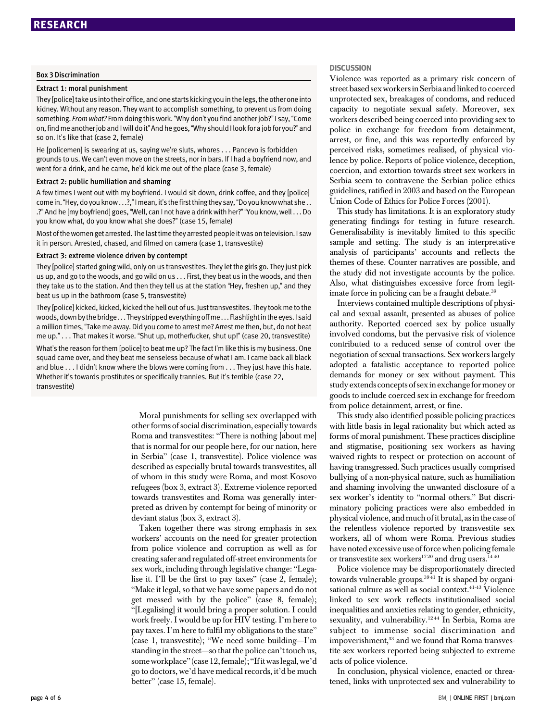#### Box 3 Discrimination

#### Extract 1: moral punishment

They [police] take us into their office, and one starts kicking you in the legs, the other one into kidney. Without any reason. They want to accomplish something, to prevent us from doing something. From what? From doing this work. "Why don't you find another job?" I say, "Come on, find me another job and I will do it" And he goes, "Why should I look for a job for you?" and so on. It's like that (case 2, female)

He [policemen] is swearing at us, saying we're sluts, whores . . . Pancevo is forbidden grounds to us. We can't even move on the streets, nor in bars. If I had a boyfriend now, and went for a drink, and he came, he'd kick me out of the place (case 3, female)

#### Extract 2: public humiliation and shaming

A few times I went out with my boyfriend. I would sit down, drink coffee, and they [police] come in. "Hey, do you know ...?," I mean, it's the first thing they say, "Do you know what she.. .?" And he [my boyfriend] goes,"Well, can I not have a drink with her?" "You know, well . . . Do you know what, do you know what she does?" (case 15, female)

Most of thewomen get arrested. The last time they arrested people itwas on television.I saw it in person. Arrested, chased, and filmed on camera (case 1, transvestite)

#### Extract 3: extreme violence driven by contempt

They [police] started going wild, only on us transvestites. They let the girls go. They just pick us up, and go to the woods, and go wild on us . . . First, they beat us in the woods, and then they take us to the station. And then they tell us at the station "Hey, freshen up," and they beat us up in the bathroom (case 5, transvestite)

They [police] kicked, kicked, kicked the hell out of us. Just transvestites. They took me to the woods, down by the bridge . . . They stripped everything off me . . . Flashlight in the eyes. I said a million times, "Take me away. Did you come to arrest me? Arrest me then, but, do not beat me up." . . . That makes it worse. "Shut up, motherfucker, shut up!" (case 20, transvestite)

What's the reason for them [police] to beat me up? The fact I'm like this is my business. One squad came over, and they beat me senseless because of what I am. I came back all black and blue . . . I didn't know where the blows were coming from . . . They just have this hate. Whether it's towards prostitutes or specifically trannies. But it's terrible (case 22, transvestite)

> Moral punishments for selling sex overlapped with other forms of social discrimination, especiallytowards Roma and transvestites: "There is nothing [about me] that is normal for our people here, for our nation, here in Serbia" (case 1, transvestite). Police violence was described as especially brutal towards transvestites, all of whom in this study were Roma, and most Kosovo refugees (box 3, extract 3). Extreme violence reported towards transvestites and Roma was generally interpreted as driven by contempt for being of minority or deviant status (box 3, extract 3).

> Taken together there was strong emphasis in sex workers' accounts on the need for greater protection from police violence and corruption as well as for creating safer and regulated off-street environments for sex work, including through legislative change: "Legalise it. I'll be the first to pay taxes" (case 2, female); "Make it legal, so that we have some papers and do not get messed with by the police" (case 8, female); "[Legalising] it would bring a proper solution. I could work freely. I would be up for HIV testing. I'm here to pay taxes. I'm here to fulfil my obligations to the state" (case 1, transvestite); "We need some building—I'm standing in the street—so that the police can't touch us, some workplace" (case 12,female); "If it was legal, we'd go to doctors, we'd have medical records, it'd be much better" (case 15, female).

#### **DISCUSSION**

Violence was reported as a primary risk concern of street based sex workers in Serbia and linked to coerced unprotected sex, breakages of condoms, and reduced capacity to negotiate sexual safety. Moreover, sex workers described being coerced into providing sex to police in exchange for freedom from detainment, arrest, or fine, and this was reportedly enforced by perceived risks, sometimes realised, of physical violence by police. Reports of police violence, deception, coercion, and extortion towards street sex workers in Serbia seem to contravene the Serbian police ethics guidelines, ratified in 2003 and based on the European Union Code of Ethics for Police Forces (2001).

This study has limitations. It is an exploratory study generating findings for testing in future research. Generalisability is inevitably limited to this specific sample and setting. The study is an interpretative analysis of participants' accounts and reflects the themes of these. Counter narratives are possible, and the study did not investigate accounts by the police. Also, what distinguishes excessive force from legitimate force in policing can be a fraught debate.<sup>39</sup>

Interviews contained multiple descriptions of physical and sexual assault, presented as abuses of police authority. Reported coerced sex by police usually involved condoms, but the pervasive risk of violence contributed to a reduced sense of control over the negotiation of sexual transactions. Sex workers largely adopted a fatalistic acceptance to reported police demands for money or sex without payment. This study extends concepts of sexin exchangeformoney or goods to include coerced sex in exchange for freedom from police detainment, arrest, or fine.

This study also identified possible policing practices with little basis in legal rationality but which acted as forms of moral punishment. These practices discipline and stigmatise, positioning sex workers as having waived rights to respect or protection on account of having transgressed. Such practices usually comprised bullying of a non-physical nature, such as humiliation and shaming involving the unwanted disclosure of a sex worker's identity to "normal others." But discriminatory policing practices were also embedded in physical violence, and much of it brutal, as in the case of the relentless violence reported by transvestite sex workers, all of whom were Roma. Previous studies have noted excessive use of force when policing female or transvestite sex workers<sup>1720</sup> and drug users.<sup>1440</sup>

Police violence may be disproportionately directed towards vulnerable groups.<sup>3941</sup> It is shaped by organisational culture as well as social context.<sup>41-43</sup> Violence linked to sex work reflects institutionalised social inequalities and anxieties relating to gender, ethnicity, sexuality, and vulnerability.<sup>1244</sup> In Serbia, Roma are subject to immense social discrimination and impoverishment,<sup>33</sup> and we found that Roma transvestite sex workers reported being subjected to extreme acts of police violence.

In conclusion, physical violence, enacted or threatened, links with unprotected sex and vulnerability to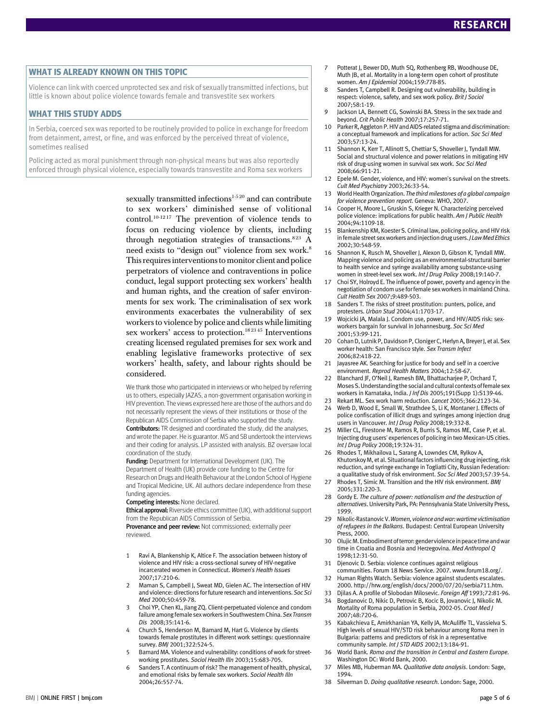#### WHAT IS ALREADY KNOWN ON THIS TOPIC

Violence can link with coerced unprotected sex and risk of sexually transmitted infections, but little is known about police violence towards female and transvestite sex workers

#### WHAT THIS STUDY ADDS

In Serbia, coerced sex was reported to be routinely provided to police in exchange for freedom from detainment, arrest, or fine, and was enforced by the perceived threat of violence, sometimes realised

Policing acted as moral punishment through non-physical means but was also reportedly enforced through physical violence, especially towards transvestite and Roma sex workers

> sexually transmitted infections<sup>1-520</sup> and can contribute to sex workers' diminished sense of volitional control.10-12 17 The prevention of violence tends to focus on reducing violence by clients, including through negotiation strategies of transactions. $823$  A need exists to "design out" violence from sex work.<sup>8</sup> This requires interventionsto monitor client and police perpetrators of violence and contraventions in police conduct, legal support protecting sex workers' health and human rights, and the creation of safer environments for sex work. The criminalisation of sex work environments exacerbates the vulnerability of sex workers to violence by police and clients while limiting sex workers' access to protection.<sup>182345</sup> Interventions creating licensed regulated premises for sex work and enabling legislative frameworks protective of sex workers' health, safety, and labour rights should be considered.

We thank those who participated in interviews or who helped by referring us to others, especially JAZAS, a non-government organisation working in HIV prevention. The views expressed here are those of the authors and do not necessarily represent the views of their institutions or those of the Republican AIDS Commission of Serbia who supported the study. Contributors: TR designed and coordinated the study, did the analyses, and wrote the paper. He is guarantor. MS and SB undertook the interviews and their coding for analysis. LP assisted with analysis. BZ oversaw local

coordination of the study. Funding: Department for International Development (UK). The Department of Health (UK) provide core funding to the Centre for

Research on Drugs and Health Behaviour at the London School of Hygiene and Tropical Medicine, UK. All authors declare independence from these funding agencies.

Competing interests: None declared.

**Ethical approval:** Riverside ethics committee (UK), with additional support from the Republican AIDS Commission of Serbia.

Provenance and peer review: Not commissioned; externally peer reviewed.

- 1 Ravi A, Blankenship K, Altice F. The association between history of violence and HIV risk: a cross-sectional survey of HIV-negative incarcerated women in Connecticut. Women's Health Issues 2007;17:210-6.
- Maman S, Campbell J, Sweat MD, Gielen AC. The intersection of HIV and violence: directions for future research and interventions. Soc Sci Med 2000;50:459-78.
- 3 Choi YP, Chen KL, Jiang ZQ. Client-perpetuated violence and condom failure among female sex workers in Southwestern China. Sex Transm Dis 2008:35:141-6.
- 4 Church S, Henderson M, Barnard M, Hart G. Violence by clients towards female prostitutes in different work settings: questionnaire survey. BMJ 2001;322:524-5.
- 5 Barnard MA. Violence and vulnerability: conditions of work for streetworking prostitutes. Sociol Health Illn 2003;15:683-705.
- 6 Sanders T. A continuum of risk? The management of health, physical, and emotional risks by female sex workers. Sociol Health Illn 2004;26:557-74.
- 7 Potterat J, Bewer DD, Muth SQ, Rothenberg RB, Woodhouse DE, Muth JB, et al. Mortality in a long-term open cohort of prostitute women. Am J Epidemiol 2004;159:778-85.
- 8 Sanders T, Campbell R. Designing out vulnerability, building in respect: violence, safety, and sex work policy. Brit J Sociol 2007;58:1-19.
- 9 Jackson LA, Bennett CG, Sowinski BA. Stress in the sex trade and beyond. Crit Public Health 2007;17:257-71.
- 10 Parker R, Aggleton P. HIV and AIDS-related stigma and discrimination: a conceptual framework and implications for action. Soc Sci Med 2003;57:13-24.
- 11 Shannon K, Kerr T, Allinott S, Chettiar S, Shoveller J, Tyndall MW. Social and structural violence and power relations in mitigating HIV risk of drug-using women in survival sex work. Soc Sci Med 2008;66:911-21.
- 12 Epele M. Gender, violence, and HIV: women's survival on the streets. Cult Med Psychiatry 2003;26:33-54.
- 13 World Health Organization. The third milestones of a global campaign for violence prevention report. Geneva: WHO, 2007.
- 14 Cooper H, Moore L, Gruskin S, Krieger N. Characterizing perceived police violence: implications for public health. Am J Public Health 2004;94:1109-18.
- 15 Blankenship KM, Koester S. Criminal law, policing policy, and HIV risk in female street sex workers and injection drug users. J Law Med Ethics 2002;30:548-59.
- 16 Shannon K, Rusch M, Shoveller J, Alexon D, Gibson K, Tyndall MW. Mapping violence and policing as an environmental-structural barrier to health service and syringe availability among substance-using women in street-level sex work. Int J Drug Policy 2008;19:140-7.
- 17 Choi SY, Holroyd E. The influence of power, poverty and agency in the negotiation of condom use forfemale sex workers in mainland China. Cult Health Sex 2007;9:489-503.
- 18 Sanders T. The risks of street prostitution: punters, police, and protesters. Urban Stud 2004;41:1703-17.
- 19 Wojcicki JA, Malala J. Condom use, power, and HIV/AIDS risk: sexworkers bargain for survival in Johannesburg. Soc Sci Med 2001;53:99-121.
- 20 Cohan D, Lutnik P, Davidson P, Cloniger C, Herlyn A, Breyer J, et al. Sex worker health: San Francisco style. Sex Transm Infect 2006;82:418-22.
- 21 Jayasree AK. Searching for justice for body and self in a coercive environment. Reprod Health Matters 2004;12:58-67.
- 22 Blanchard JF, O'Neil J, Ramesh BM, Bhattachariee P, Orchard T, Moses S. Understanding the social and cultural contexts of female sex workers in Karnataka, India. J Inf Dis 2005;191(Supp 1):S139-46.
- 23 Rekart ML. Sex work harm reduction. Lancet 2005;366:2123-34. 24 Werb D, Wood E, Small W, Strathdee S, Li K, Montaner J. Effects of
- police confiscation of illicit drugs and syringes among injection drug users in Vancouver. Int J Drug Policy 2008;19:332-8.
- 25 Miller CL, Firestone M, Ramos R, Burris S, Ramos ME, Case P, et al. Injecting drug users' experiences of policing in two Mexican-US cities. Int J Drug Policy 2008;19:324-31.
- 26 Rhodes T, Mikhailova L, Sarang A, Lowndes CM, Rylkov A, Khutorskoy M, et al. Situational factors influencing drug injecting, risk reduction, and syringe exchange in Togliatti City, Russian Federation: a qualitative study of risk environment. Soc Sci Med 2003;57:39-54.
- 27 Rhodes T, Simic M. Transition and the HIV risk environment. BMJ 2005;331:220-3.
- 28 Gordy E. The culture of power: nationalism and the destruction of alternatives. University Park, PA: Pennsylvania State University Press, 1999.
- 29 Nikolic-Rastanovic V. Women, violence and war: wartime victimisation of refugees in the Balkans. Budapest: Central European University Press, 2000.
- 30 OlujicM. Embodiment of terror: genderviolenceinpeace time andwar time in Croatia and Bosnia and Herzegovina. Med Anthropol Q 1998;12:31-50.
- 31 Djenovic D. Serbia: violence continues against religious communities. Forum 18 News Service. 2007. www.forum18.org/.
- 32 Human Rights Watch. Serbia: violence against students escalates. 2000. http://hrw.org/english/docs/2000/07/20/serbia711.htm.
- 33 Djilas A. A profile of Slobodan Milosevic. Foreign Aff 1993;72:81-96. 34 Bogdanovic D, Nikic D, Petrovic B, Kocic B, Jovanovic J, Nikolic M.
- Mortality of Roma population in Serbia, 2002-05. Croat Med J 2007;48:720-6.
- 35 Kabakchieva E, Amirkhanian YA, Kelly JA, McAuliffe TL, Vassielva S. High levels of sexual HIV/STD risk behaviour among Roma men in Bulgaria: patterns and predictors of risk in a representative community sample. Int J STD AIDS 2002;13:184-91.
- 36 World Bank. Roma and the transition in Central and Eastern Europe. Washington DC: World Bank, 2000.
- 37 Miles MB, Huberman MA. Qualitative data analysis. London: Sage, 1994.
- 38 Silverman D. Doing qualitative research. London: Sage, 2000.